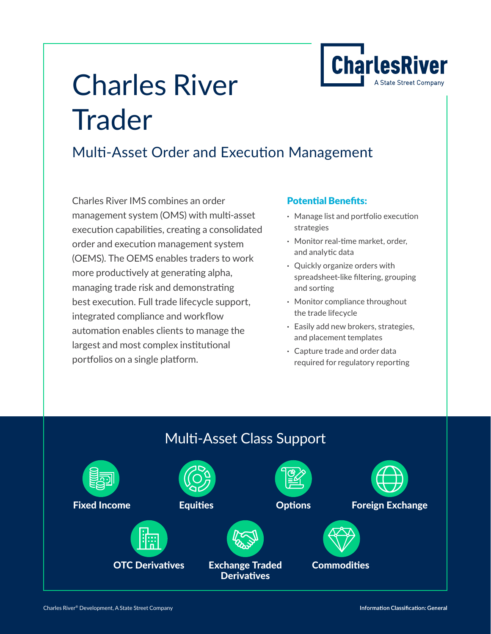

# Charles River **Trader**

### Multi-Asset Order and Execution Management

Charles River IMS combines an order management system (OMS) with multi-asset execution capabilities, creating a consolidated order and execution management system (OEMS). The OEMS enables traders to work more productively at generating alpha, managing trade risk and demonstrating best execution. Full trade lifecycle support, integrated compliance and workflow automation enables clients to manage the largest and most complex institutional portfolios on a single platform.

### Potential Benefits:

- **·** Manage list and portfolio execution strategies
- **·** Monitor real-time market, order, and analytic data
- **·** Quickly organize orders with spreadsheet-like filtering, grouping and sorting
- **·** Monitor compliance throughout the trade lifecycle
- **·** Easily add new brokers, strategies, and placement templates
- **·** Capture trade and order data required for regulatory reporting

### Multi-Asset Class Support

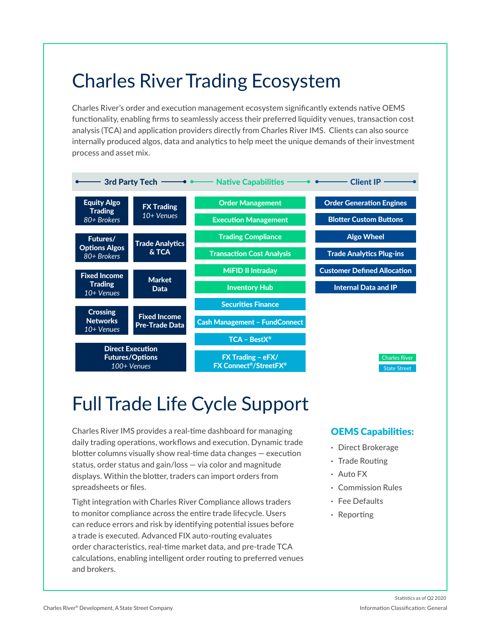### Charles River Trading Ecosystem

Charles River's order and execution management ecosystem significantly extends native OEMS functionality, enabling firms to seamlessly access their preferred liquidity venues, transaction cost analysis (TCA) and application providers directly from Charles River IMS. Clients can also source internally produced algos, data and analytics to help meet the unique demands of their investment process and asset mix.



## Full Trade Life Cycle Support

Charles River IMS provides a real-time dashboard for managing daily trading operations, workflows and execution. Dynamic trade blotter columns visually show real-time data changes — execution status, order status and gain/loss — via color and magnitude displays. Within the blotter, traders can import orders from spreadsheets or files.

Tight integration with Charles River Compliance allows traders to monitor compliance across the entire trade lifecycle. Users can reduce errors and risk by identifying potential issues before a trade is executed. Advanced FIX auto-routing evaluates order characteristics, real-time market data, and pre-trade TCA calculations, enabling intelligent order routing to preferred venues and brokers.

### OEMS Capabilities:

- **·** Direct Brokerage
- **·** Trade Routing
- **·** Auto FX
- **·** Commission Rules
- **·** Fee Defaults
- **·** Reporting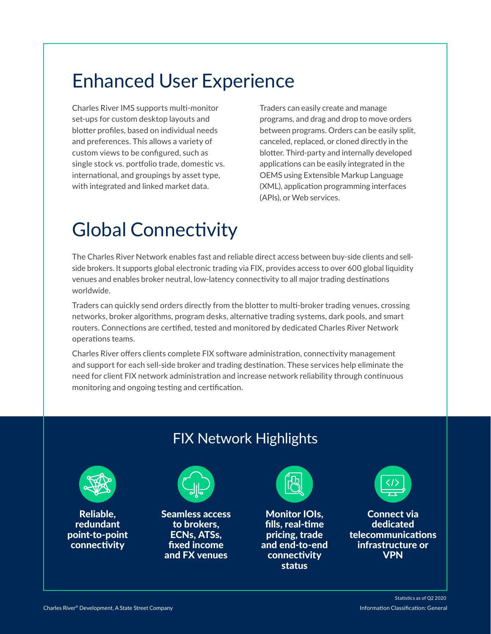### Enhanced User Experience

Charles River IMS supports multi-monitor set-ups for custom desktop layouts and blotter profiles, based on individual needs and preferences. This allows a variety of custom views to be configured, such as single stock vs. portfolio trade, domestic vs. international, and groupings by asset type, with integrated and linked market data.

Traders can easily create and manage programs, and drag and drop to move orders between programs. Orders can be easily split, canceled, replaced, or cloned directly in the blotter. Third-party and internally developed applications can be easily integrated in the OEMS using Extensible Markup Language (XML), application programming interfaces (APIs), or Web services.

### Global Connectivity

The Charles River Network enables fast and reliable direct access between buy-side clients and sellside brokers. It supports global electronic trading via FIX, provides access to over 600 global liquidity venues and enables broker neutral, low-latency connectivity to all major trading destinations worldwide.

Traders can quickly send orders directly from the blotter to multi-broker trading venues, crossing networks, broker algorithms, program desks, alternative trading systems, dark pools, and smart routers. Connections are certified, tested and monitored by dedicated Charles River Network operations teams.

Charles River offers clients complete FIX software administration, connectivity management and support for each sell-side broker and trading destination. These services help eliminate the need for client FIX network administration and increase network reliability through continuous monitoring and ongoing testing and certification.

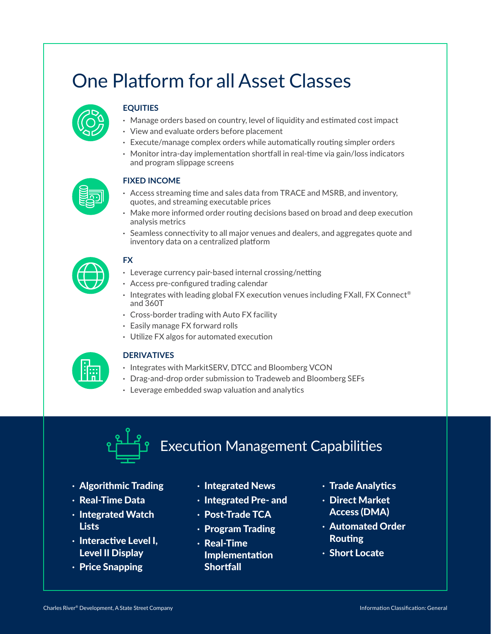### One Platform for all Asset Classes



### **EQUITIES**

- **·** Manage orders based on country, level of liquidity and estimated cost impact
- **·** View and evaluate orders before placement
- **·** Execute/manage complex orders while automatically routing simpler orders
- **·** Monitor intra-day implementation shortfall in real-time via gain/loss indicators and program slippage screens



### **FIXED INCOME**

- **·** Access streaming time and sales data from TRACE and MSRB, and inventory, quotes, and streaming executable prices
- **·** Make more informed order routing decisions based on broad and deep execution analysis metrics
- **·** Seamless connectivity to all major venues and dealers, and aggregates quote and inventory data on a centralized platform



### **FX**

- **·** Leverage currency pair-based internal crossing/netting
- **·** Access pre-configured trading calendar
- **·** Integrates with leading global FX execution venues including FXall, FX Connect® and 360T
- **·** Cross-border trading with Auto FX facility
- **·** Easily manage FX forward rolls
- **·** Utilize FX algos for automated execution



### **DERIVATIVES**

- **·** Integrates with MarkitSERV, DTCC and Bloomberg VCON
- **·** Drag-and-drop order submission to Tradeweb and Bloomberg SEFs
- **·** Leverage embedded swap valuation and analytics

# Execution Management Capabilities

- **·** Algorithmic Trading
- **·** Real-Time Data
- **·** Integrated Watch **Lists**
- **·** Interactive Level I, Level II Display
- **·** Price Snapping
- **·** Integrated News
- **·** Integrated Pre- and
- **·** Post-Trade TCA
- **·** Program Trading
- **·** Real-Time Implementation **Shortfall**
- **·** Trade Analytics
- **·** Direct Market Access (DMA)
- **·** Automated Order Routing
- **·** Short Locate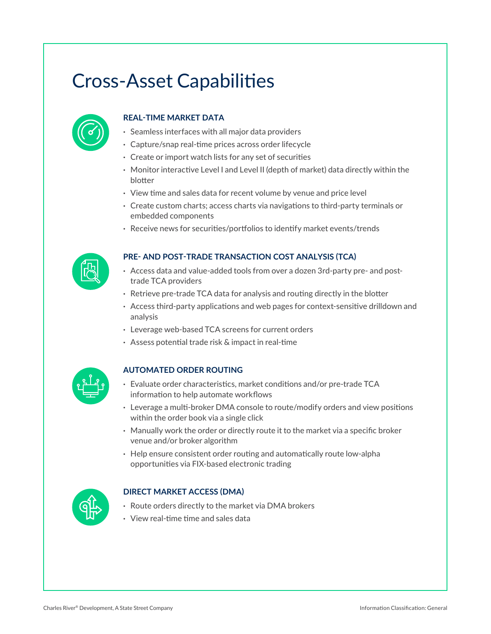### Cross-Asset Capabilities



#### **REAL-TIME MARKET DATA**

- **·** Seamless interfaces with all major data providers
- **·** Capture/snap real-time prices across order lifecycle
- **·** Create or import watch lists for any set of securities
- **·** Monitor interactive Level I and Level II (depth of market) data directly within the blotter
- **·** View time and sales data for recent volume by venue and price level
- **·** Create custom charts; access charts via navigations to third-party terminals or embedded components
- **·** Receive news for securities/portfolios to identify market events/trends



#### **PRE- AND POST-TRADE TRANSACTION COST ANALYSIS (TCA)**

- **·** Access data and value-added tools from over a dozen 3rd-party pre- and posttrade TCA providers
- **·** Retrieve pre-trade TCA data for analysis and routing directly in the blotter
- **·** Access third-party applications and web pages for context-sensitive drilldown and analysis
- **·** Leverage web-based TCA screens for current orders
- **·** Assess potential trade risk & impact in real-time



#### **AUTOMATED ORDER ROUTING**

- **·** Evaluate order characteristics, market conditions and/or pre-trade TCA information to help automate workflows
- **·** Leverage a multi-broker DMA console to route/modify orders and view positions within the order book via a single click
- **·** Manually work the order or directly route it to the market via a specific broker venue and/or broker algorithm
- **·** Help ensure consistent order routing and automatically route low-alpha opportunities via FIX-based electronic trading



#### **DIRECT MARKET ACCESS (DMA)**

- **·** Route orders directly to the market via DMA brokers
- **·** View real-time time and sales data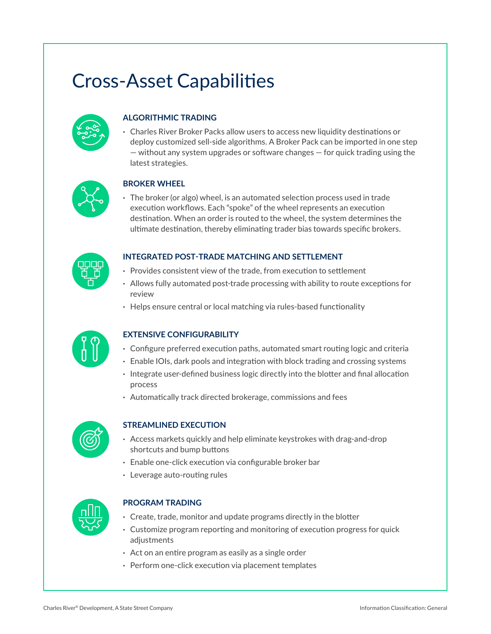### Cross-Asset Capabilities



### **ALGORITHMIC TRADING**

**·** Charles River Broker Packs allow users to access new liquidity destinations or deploy customized sell-side algorithms. A Broker Pack can be imported in one step — without any system upgrades or software changes — for quick trading using the latest strategies.



#### **BROKER WHEEL**

**·** The broker (or algo) wheel, is an automated selection process used in trade execution workflows. Each "spoke" of the wheel represents an execution destination. When an order is routed to the wheel, the system determines the ultimate destination, thereby eliminating trader bias towards specific brokers.



#### **INTEGRATED POST-TRADE MATCHING AND SETTLEMENT**

- **·** Provides consistent view of the trade, from execution to settlement
- **·** Allows fully automated post-trade processing with ability to route exceptions for review
- **·** Helps ensure central or local matching via rules-based functionality



#### **EXTENSIVE CONFIGURABILITY**

- **·** Configure preferred execution paths, automated smart routing logic and criteria
- **·** Enable IOIs, dark pools and integration with block trading and crossing systems
	- **·** Integrate user-defined business logic directly into the blotter and final allocation process
	- **·** Automatically track directed brokerage, commissions and fees



#### **STREAMLINED EXECUTION**

- **·** Access markets quickly and help eliminate keystrokes with drag-and-drop shortcuts and bump buttons
- **·** Enable one-click execution via configurable broker bar
- **·** Leverage auto-routing rules



#### **PROGRAM TRADING**

- **·** Create, trade, monitor and update programs directly in the blotter
- **·** Customize program reporting and monitoring of execution progress for quick adjustments
- **·** Act on an entire program as easily as a single order
- **·** Perform one-click execution via placement templates